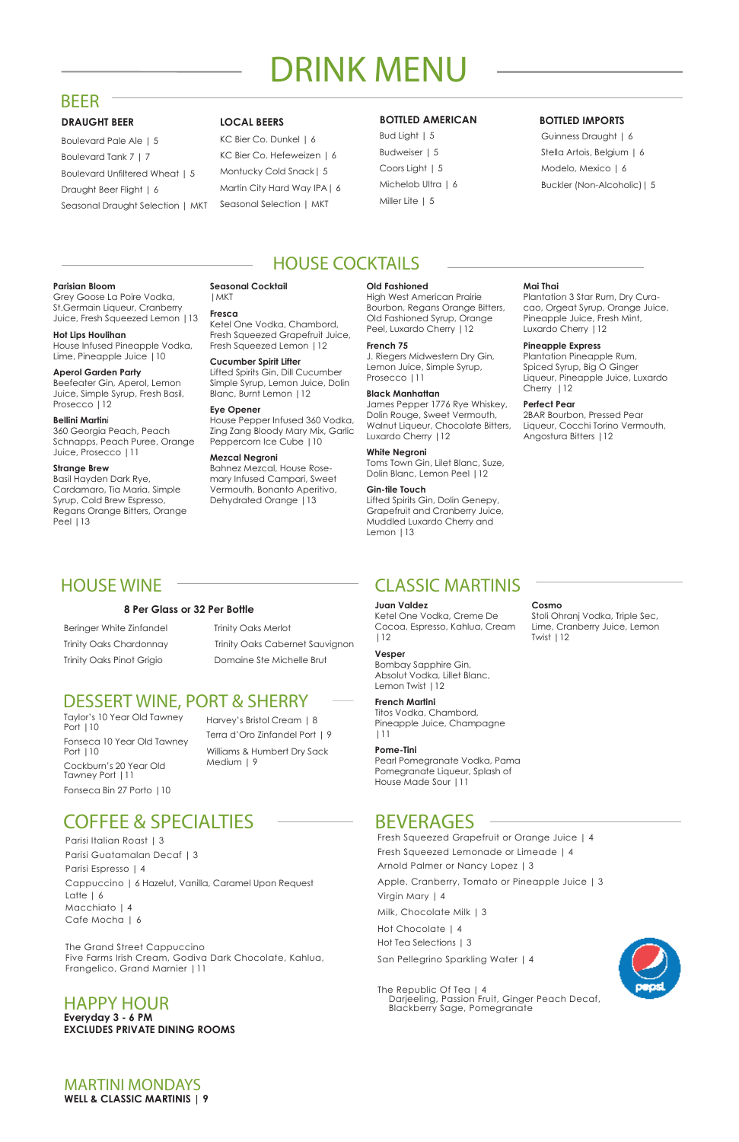# HOUSE WINE CLASSIC MARTINIS

## **BOTTLED AMERICAN**

Bud Light | 5 Budweiser | 5 Coors Light | 5 Michelob Ultra | 6 Miller Lite | 5

## **BOTTLED IMPORTS**

Guinness Draught | 6 Stella Artois, Belgium | 6 Modelo, Mexico | 6 Buckler (Non-Alcoholic)| 5

### **DRAUGHT BEER LOCAL BEERS**

Boulevard Pale Ale | 5 Boulevard Tank 7 | 7 Boulevard Unfiltered Wheat | 5 Draught Beer Flight | 6 Seasonal Draught Selection | MKT

Beefeater Gin, Aperol, Lemon Juice, Simple Syrup, Fresh Basil, Prosecco | 12

KC Bier Co. Dunkel | 6 KC Bier Co. Hefeweizen | 6 Montucky Cold Snack| 5 Martin City Hard Way IPA| 6 Seasonal Selection | MKT

## BEER

# DRINK MENU

## HOUSE COCKTAILS

### **Parisian Bloom**

Grey Goose La Poire Vodka, St.Germain Liqueur, Cranberry Juice, Fresh Squeezed Lemon |13

### **Hot Lips Houlihan**

House Infused Pineapple Vodka, Lime, Pineapple Juice |10

#### **Aperol Garden Party**

### **Bellini Martin**i

360 Georgia Peach, Peach Schnapps, Peach Puree, Orange Juice, Prosecco |11

### **Strange Brew**

Basil Hayden Dark Rye, Cardamaro, Tia Maria, Simple Syrup, Cold Brew Espresso, Regans Orange Bitters, Orange Peel |13

#### **Seasonal Cocktail** |MKT

### **Fresca**

Ketel One Vodka, Chambord, Fresh Squeezed Grapefruit Juice, Fresh Squeezed Lemon |12

### **Cucumber Spirit Lifter**

Lifted Spirits Gin, Dill Cucumber Simple Syrup, Lemon Juice, Dolin Blanc, Burnt Lemon |12

### **Eye Opener**

House Pepper Infused 360 Vodka, Zing Zang Bloody Mary Mix, Garlic Peppercorn Ice Cube |10

### **Mezcal Negroni**

Bahnez Mezcal, House Rosemary Infused Campari, Sweet Vermouth, Bonanto Aperitivo, Dehydrated Orange |13

#### **Old Fashioned**

High West American Prairie Bourbon, Regans Orange Bitters, Old Fashioned Syrup, Orange Peel, Luxardo Cherry |12

## Trinity Oaks Chardonnay Trinity Oaks Cabernet Sauvignon Trinity Oaks Pinot Grigio **Domaine Ste Michelle Brut**

### **French 75**

J. Riegers Midwestern Dry Gin, Lemon Juice, Simple Syrup, Prosecco |11

### **Black Manhattan**

James Pepper 1776 Rye Whiskey, Dolin Rouge, Sweet Vermouth, Walnut Liqueur, Chocolate Bitters, Luxardo Cherry |12

## **White Negroni**

Absolut Vodka, Lillet Blanc, Lemon Twist | 12

Toms Town Gin, Lilet Blanc, Suze, Dolin Blanc, Lemon Peel |12

### **Gin-tile Touch**

Lifted Spirits Gin, Dolin Genepy, Grapefruit and Cranberry Juice, Muddled Luxardo Cherry and Lemon |13

## **Mai Thai**

Plantation 3 Star Rum, Dry Curacao, Orgeat Syrup, Orange Juice, Pineapple Juice, Fresh Mint, Luxardo Cherry |12

### **Pineapple Express**

Plantation Pineapple Rum, Spiced Syrup, Big O Ginger Liqueur, Pineapple Juice, Luxardo Cherry |12

### **Perfect Pear**

2BAR Bourbon, Pressed Pear Liqueur, Cocchi Torino Vermouth, Angostura Bitters |12

Fresh Squeezed Grapefruit or Orange Juice | 4

Fresh Squeezed Lemonade or Limeade | 4 Arnold Palmer or Nancy Lopez | 3 Apple, Cranberry, Tomato or Pineapple Juice | 3 Virgin Mary | 4 Milk, Chocolate Milk | 3 Hot Chocolate | 4 Hot Tea Selections | 3 San Pellegrino Sparkling Water | 4

The Republic Of Tea | 4 Darjeeling, Passion Fruit, Ginger Peach Decaf, Blackberry Sage, Pomegranate



Parisi Italian Roast | 3 Parisi Guatamalan Decaf | 3 Parisi Espresso | 4 Cappuccino | 6 Hazelut, Vanilla, Caramel Upon Request Latte | 6 Macchiato | 4 Cafe Mocha | 6

The Grand Street Cappuccino Five Farms Irish Cream, Godiva Dark Chocolate, Kahlua, Frangelico, Grand Marnier |11

# COFFEE & SPECIALTIES BEVERAGES

**Everyday 3 - 6 PM EXCLUDES PRIVATE DINING ROOMS**

## HAPPY HOUR

### **8 Per Glass or 32 Per Bottle**

Beringer White Zinfandel Trinity Oaks Merlot

MARTINI MONDAYS **WELL & CLASSIC MARTINIS | 9**

## DESSERT WINE, PORT & SHERRY

Harvey's Bristol Cream | 8 Terra d'Oro Zinfandel Port | 9 Williams & Humbert Dry Sack

Medium | 9

Taylor's 10 Year Old Tawney Port |10 Fonseca 10 Year Old Tawney

Port |10 Cockburn's 20 Year Old Tawney Port |11

Fonseca Bin 27 Porto |10

### **Juan Valdez**

Ketel One Vodka, Creme De Cocoa, Espresso, Kahlua, Cream |12

## **Vesper**  Bombay Sapphire Gin,

## **French Martini**

Titos Vodka, Chambord, Pineapple Juice, Champagne |11

## **Pome-Tini**

Pearl Pomegranate Vodka, Pama Pomegranate Liqueur, Splash of House Made Sour |11

### **Cosmo**

Stoli Ohranj Vodka, Triple Sec, Lime, Cranberry Juice, Lemon Twist |12